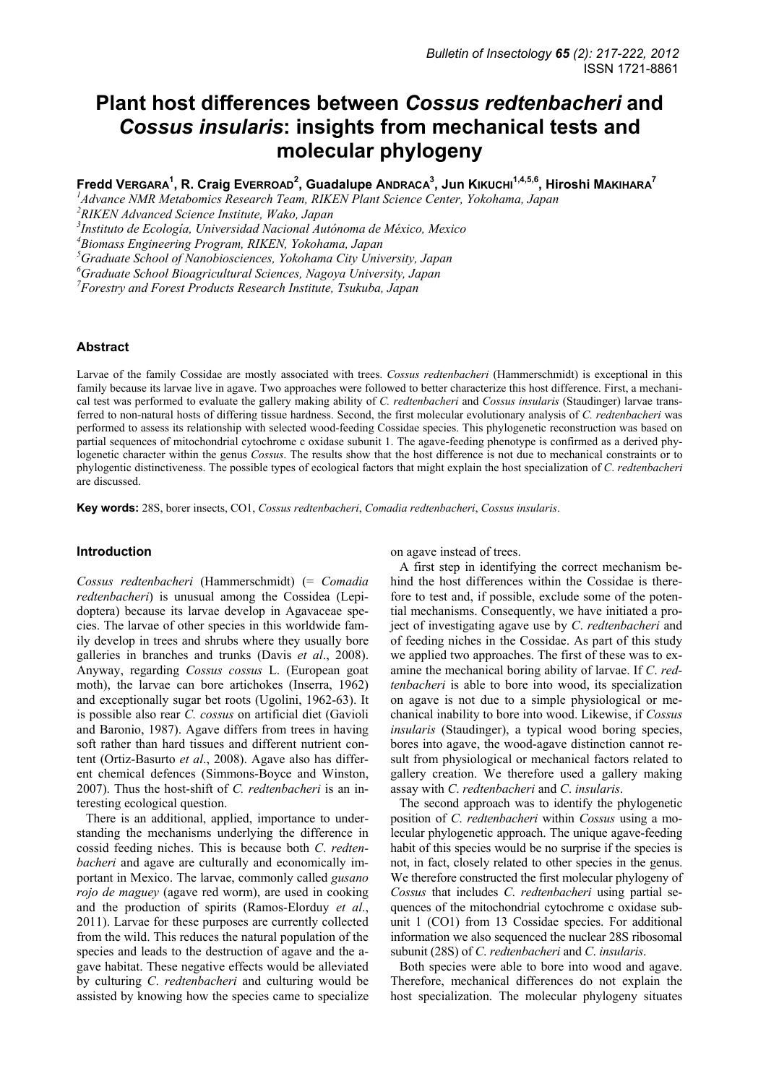# **Plant host differences between** *Cossus redtenbacheri* **and** *Cossus insularis***: insights from mechanical tests and molecular phylogeny**

 $\mathsf{Fredd}$  VERGARA $^1$ , R. Craig EvERROAD $^2$ , Guadalupe ANDRACA $^3$ , Jun Kıкuснı $^{1,4,5,6}$ , Hiroshi МакıнаRA $^7$ 

*1 Advance NMR Metabomics Research Team, RIKEN Plant Science Center, Yokohama, Japan* 

*2 RIKEN Advanced Science Institute, Wako, Japan* 

<sup>3</sup> Instituto de Ecología, Universidad Nacional Autónoma de México, Mexico<br><sup>4</sup> Piomass Engineering Puegram, PIKEN, Vokohama, Japan

*Biomass Engineering Program, RIKEN, Yokohama, Japan* 

*5 Graduate School of Nanobiosciences, Yokohama City University, Japan* 

*6 Graduate School Bioagricultural Sciences, Nagoya University, Japan* 

*7 Forestry and Forest Products Research Institute, Tsukuba, Japan* 

#### **Abstract**

Larvae of the family Cossidae are mostly associated with trees. *Cossus redtenbacheri* (Hammerschmidt) is exceptional in this family because its larvae live in agave. Two approaches were followed to better characterize this host difference. First, a mechanical test was performed to evaluate the gallery making ability of *C. redtenbacheri* and *Cossus insularis* (Staudinger) larvae transferred to non-natural hosts of differing tissue hardness. Second, the first molecular evolutionary analysis of *C. redtenbacheri* was performed to assess its relationship with selected wood-feeding Cossidae species. This phylogenetic reconstruction was based on partial sequences of mitochondrial cytochrome c oxidase subunit 1. The agave-feeding phenotype is confirmed as a derived phylogenetic character within the genus *Cossus*. The results show that the host difference is not due to mechanical constraints or to phylogentic distinctiveness. The possible types of ecological factors that might explain the host specialization of *C*. *redtenbacheri* are discussed.

**Key words:** 28S, borer insects, CO1, *Cossus redtenbacheri*, *Comadia redtenbacheri*, *Cossus insularis*.

#### **Introduction**

*Cossus redtenbacheri* (Hammerschmidt) (= *Comadia redtenbacheri*) is unusual among the Cossidea (Lepidoptera) because its larvae develop in Agavaceae species. The larvae of other species in this worldwide family develop in trees and shrubs where they usually bore galleries in branches and trunks (Davis *et al*., 2008). Anyway, regarding *Cossus cossus* L. (European goat moth), the larvae can bore artichokes (Inserra, 1962) and exceptionally sugar bet roots (Ugolini, 1962-63). It is possible also rear *C. cossus* on artificial diet (Gavioli and Baronio, 1987). Agave differs from trees in having soft rather than hard tissues and different nutrient content (Ortiz-Basurto *et al*., 2008). Agave also has different chemical defences (Simmons-Boyce and Winston, 2007). Thus the host-shift of *C. redtenbacheri* is an interesting ecological question.

There is an additional, applied, importance to understanding the mechanisms underlying the difference in cossid feeding niches. This is because both *C*. *redtenbacheri* and agave are culturally and economically important in Mexico. The larvae, commonly called *gusano rojo de maguey* (agave red worm), are used in cooking and the production of spirits (Ramos-Elorduy *et al*., 2011). Larvae for these purposes are currently collected from the wild. This reduces the natural population of the species and leads to the destruction of agave and the agave habitat. These negative effects would be alleviated by culturing *C*. *redtenbacheri* and culturing would be assisted by knowing how the species came to specialize on agave instead of trees.

A first step in identifying the correct mechanism behind the host differences within the Cossidae is therefore to test and, if possible, exclude some of the potential mechanisms. Consequently, we have initiated a project of investigating agave use by *C*. *redtenbacheri* and of feeding niches in the Cossidae. As part of this study we applied two approaches. The first of these was to examine the mechanical boring ability of larvae. If *C*. *redtenbacheri* is able to bore into wood, its specialization on agave is not due to a simple physiological or mechanical inability to bore into wood. Likewise, if *Cossus insularis* (Staudinger), a typical wood boring species, bores into agave, the wood-agave distinction cannot result from physiological or mechanical factors related to gallery creation. We therefore used a gallery making assay with *C*. *redtenbacheri* and *C*. *insularis*.

The second approach was to identify the phylogenetic position of *C*. *redtenbacheri* within *Cossus* using a molecular phylogenetic approach. The unique agave-feeding habit of this species would be no surprise if the species is not, in fact, closely related to other species in the genus. We therefore constructed the first molecular phylogeny of *Cossus* that includes *C*. *redtenbacheri* using partial sequences of the mitochondrial cytochrome c oxidase subunit 1 (CO1) from 13 Cossidae species. For additional information we also sequenced the nuclear 28S ribosomal subunit (28S) of *C*. *redtenbacheri* and *C*. *insularis*.

Both species were able to bore into wood and agave. Therefore, mechanical differences do not explain the host specialization. The molecular phylogeny situates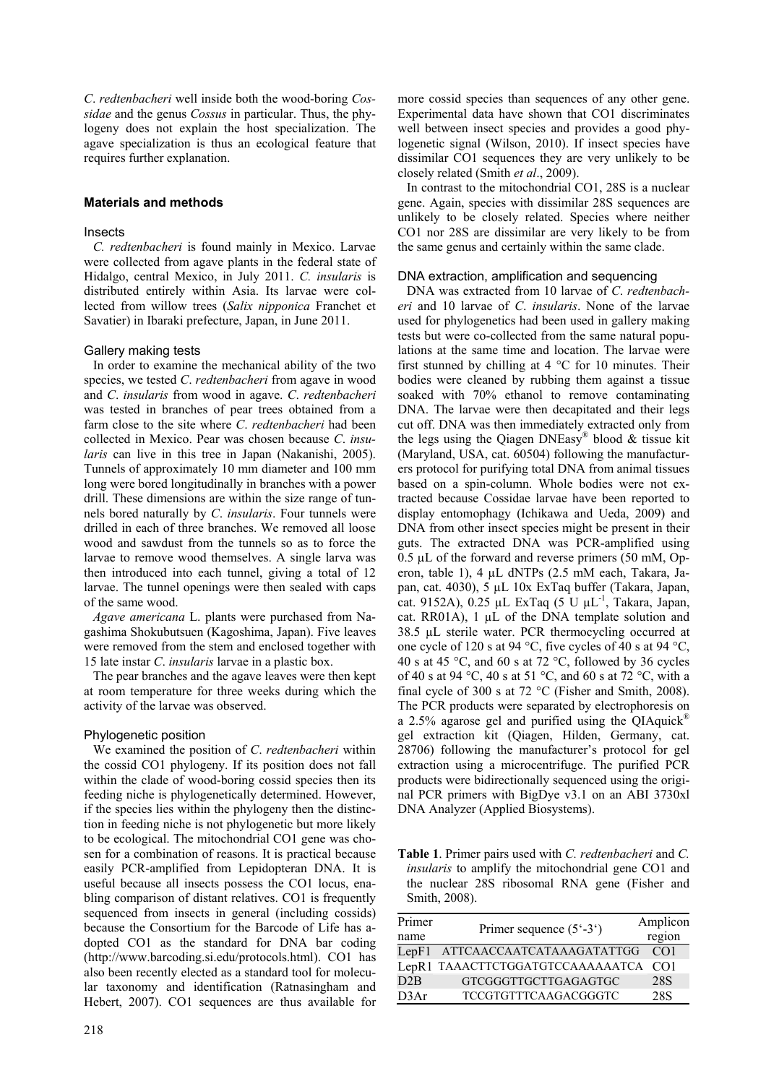*C*. *redtenbacheri* well inside both the wood-boring *Cossidae* and the genus *Cossus* in particular. Thus, the phylogeny does not explain the host specialization. The agave specialization is thus an ecological feature that requires further explanation.

# **Materials and methods**

#### **Insects**

*C. redtenbacheri* is found mainly in Mexico. Larvae were collected from agave plants in the federal state of Hidalgo, central Mexico, in July 2011. *C. insularis* is distributed entirely within Asia. Its larvae were collected from willow trees (*Salix nipponica* Franchet et Savatier) in Ibaraki prefecture, Japan, in June 2011.

# Gallery making tests

In order to examine the mechanical ability of the two species, we tested *C*. *redtenbacheri* from agave in wood and *C*. *insularis* from wood in agave. *C*. *redtenbacheri*  was tested in branches of pear trees obtained from a farm close to the site where *C*. *redtenbacheri* had been collected in Mexico. Pear was chosen because *C*. *insularis* can live in this tree in Japan (Nakanishi, 2005). Tunnels of approximately 10 mm diameter and 100 mm long were bored longitudinally in branches with a power drill. These dimensions are within the size range of tunnels bored naturally by *C*. *insularis*. Four tunnels were drilled in each of three branches. We removed all loose wood and sawdust from the tunnels so as to force the larvae to remove wood themselves. A single larva was then introduced into each tunnel, giving a total of 12 larvae. The tunnel openings were then sealed with caps of the same wood.

*Agave americana* L. plants were purchased from Nagashima Shokubutsuen (Kagoshima, Japan). Five leaves were removed from the stem and enclosed together with 15 late instar *C*. *insularis* larvae in a plastic box.

The pear branches and the agave leaves were then kept at room temperature for three weeks during which the activity of the larvae was observed.

# Phylogenetic position

We examined the position of *C*. *redtenbacheri* within the cossid CO1 phylogeny. If its position does not fall within the clade of wood-boring cossid species then its feeding niche is phylogenetically determined. However, if the species lies within the phylogeny then the distinction in feeding niche is not phylogenetic but more likely to be ecological. The mitochondrial CO1 gene was chosen for a combination of reasons. It is practical because easily PCR-amplified from Lepidopteran DNA. It is useful because all insects possess the CO1 locus, enabling comparison of distant relatives. CO1 is frequently sequenced from insects in general (including cossids) because the Consortium for the Barcode of Life has adopted CO1 as the standard for DNA bar coding (http://www.barcoding.si.edu/protocols.html). CO1 has also been recently elected as a standard tool for molecular taxonomy and identification (Ratnasingham and Hebert, 2007). CO1 sequences are thus available for more cossid species than sequences of any other gene. Experimental data have shown that CO1 discriminates well between insect species and provides a good phylogenetic signal (Wilson, 2010). If insect species have dissimilar CO1 sequences they are very unlikely to be closely related (Smith *et al*., 2009).

In contrast to the mitochondrial CO1, 28S is a nuclear gene. Again, species with dissimilar 28S sequences are unlikely to be closely related. Species where neither CO1 nor 28S are dissimilar are very likely to be from the same genus and certainly within the same clade.

# DNA extraction, amplification and sequencing

DNA was extracted from 10 larvae of *C*. *redtenbacheri* and 10 larvae of *C*. *insularis*. None of the larvae used for phylogenetics had been used in gallery making tests but were co-collected from the same natural populations at the same time and location. The larvae were first stunned by chilling at  $4^{\circ}$ C for 10 minutes. Their bodies were cleaned by rubbing them against a tissue soaked with 70% ethanol to remove contaminating DNA. The larvae were then decapitated and their legs cut off. DNA was then immediately extracted only from the legs using the Qiagen DNEasy<sup>®</sup> blood  $&$  tissue kit (Maryland, USA, cat. 60504) following the manufacturers protocol for purifying total DNA from animal tissues based on a spin-column. Whole bodies were not extracted because Cossidae larvae have been reported to display entomophagy (Ichikawa and Ueda, 2009) and DNA from other insect species might be present in their guts. The extracted DNA was PCR-amplified using  $0.5 \mu L$  of the forward and reverse primers (50 mM, Operon, table 1), 4 µL dNTPs (2.5 mM each, Takara, Japan, cat. 4030), 5 µL 10x ExTaq buffer (Takara, Japan, cat. 9152A), 0.25 µL ExTaq (5 U µL<sup>-1</sup>, Takara, Japan, cat. RR01A),  $1 \mu L$  of the DNA template solution and 38.5 µL sterile water. PCR thermocycling occurred at one cycle of 120 s at 94 °C, five cycles of 40 s at 94 °C, 40 s at 45 °C, and 60 s at 72 °C, followed by 36 cycles of 40 s at 94 °C, 40 s at 51 °C, and 60 s at 72 °C, with a final cycle of 300 s at 72 °C (Fisher and Smith, 2008). The PCR products were separated by electrophoresis on a 2.5% agarose gel and purified using the QIAquick® gel extraction kit (Qiagen, Hilden, Germany, cat. 28706) following the manufacturer's protocol for gel extraction using a microcentrifuge. The purified PCR products were bidirectionally sequenced using the original PCR primers with BigDye v3.1 on an ABI 3730xl DNA Analyzer (Applied Biosystems).

**Table 1**. Primer pairs used with *C. redtenbacheri* and *C. insularis* to amplify the mitochondrial gene CO1 and the nuclear 28S ribosomal RNA gene (Fisher and Smith, 2008).

| Primer<br>name | Primer sequence $(5^{\circ} - 3^{\circ})$ | Amplicon<br>region |
|----------------|-------------------------------------------|--------------------|
| LenF1          | ATTCAACCAATCATAAAGATATTGG                 | CO <sub>1</sub>    |
|                | LepR1 TAAACTTCTGGATGTCCAAAAAATCA          | CO <sub>1</sub>    |
| D2B            | GTCGGGTTGCTTGAGAGTGC                      | 28 <sub>S</sub>    |
| D3Ar           | <b>TCCGTGTTTCAAGACGGGTC</b>               | 28S                |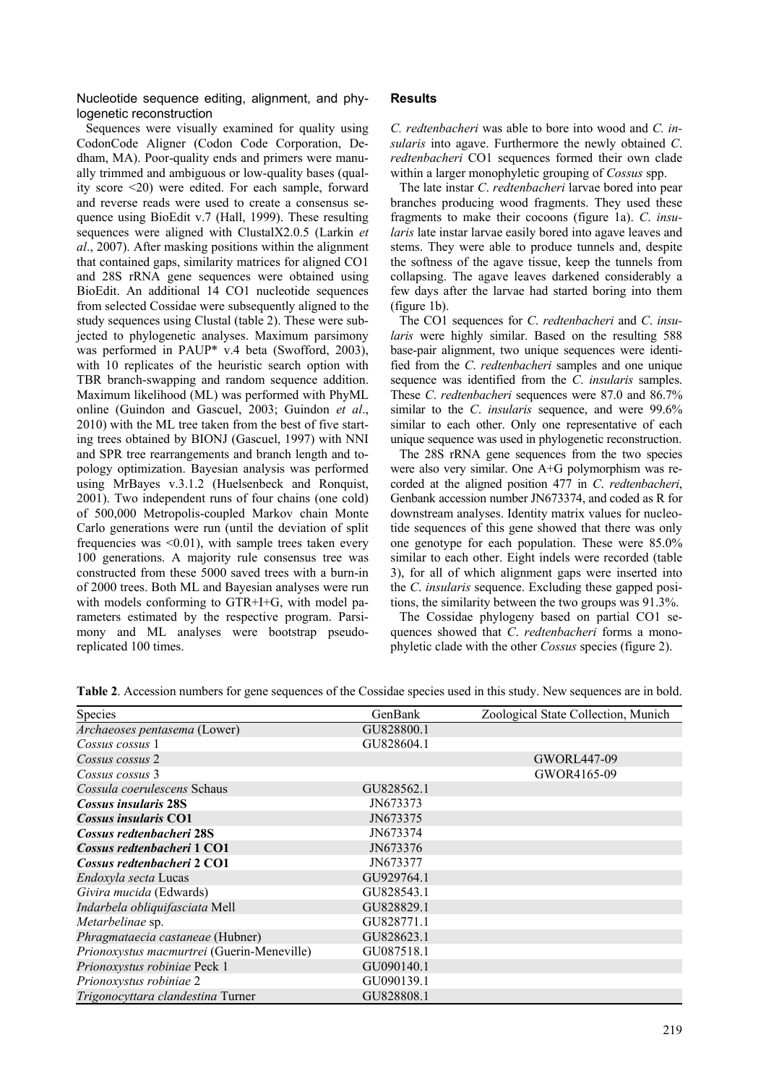Nucleotide sequence editing, alignment, and phylogenetic reconstruction

Sequences were visually examined for quality using CodonCode Aligner (Codon Code Corporation, Dedham, MA). Poor-quality ends and primers were manually trimmed and ambiguous or low-quality bases (quality score <20) were edited. For each sample, forward and reverse reads were used to create a consensus sequence using BioEdit v.7 (Hall, 1999). These resulting sequences were aligned with ClustalX2.0.5 (Larkin *et al*., 2007). After masking positions within the alignment that contained gaps, similarity matrices for aligned CO1 and 28S rRNA gene sequences were obtained using BioEdit. An additional 14 CO1 nucleotide sequences from selected Cossidae were subsequently aligned to the study sequences using Clustal (table 2). These were subjected to phylogenetic analyses. Maximum parsimony was performed in PAUP\* v.4 beta (Swofford, 2003), with 10 replicates of the heuristic search option with TBR branch-swapping and random sequence addition. Maximum likelihood (ML) was performed with PhyML online (Guindon and Gascuel, 2003; Guindon *et al*., 2010) with the ML tree taken from the best of five starting trees obtained by BIONJ (Gascuel, 1997) with NNI and SPR tree rearrangements and branch length and topology optimization. Bayesian analysis was performed using MrBayes v.3.1.2 (Huelsenbeck and Ronquist, 2001). Two independent runs of four chains (one cold) of 500,000 Metropolis-coupled Markov chain Monte Carlo generations were run (until the deviation of split frequencies was  $\leq 0.01$ ), with sample trees taken every 100 generations. A majority rule consensus tree was constructed from these 5000 saved trees with a burn-in of 2000 trees. Both ML and Bayesian analyses were run with models conforming to GTR+I+G, with model parameters estimated by the respective program. Parsimony and ML analyses were bootstrap pseudoreplicated 100 times.

#### **Results**

*C. redtenbacheri* was able to bore into wood and *C. insularis* into agave. Furthermore the newly obtained *C*. *redtenbacheri* CO1 sequences formed their own clade within a larger monophyletic grouping of *Cossus* spp.

The late instar *C*. *redtenbacheri* larvae bored into pear branches producing wood fragments. They used these fragments to make their cocoons (figure 1a). *C*. *insularis* late instar larvae easily bored into agave leaves and stems. They were able to produce tunnels and, despite the softness of the agave tissue, keep the tunnels from collapsing. The agave leaves darkened considerably a few days after the larvae had started boring into them (figure 1b).

The CO1 sequences for *C*. *redtenbacheri* and *C*. *insularis* were highly similar. Based on the resulting 588 base-pair alignment, two unique sequences were identified from the *C*. *redtenbacheri* samples and one unique sequence was identified from the *C*. *insularis* samples. These *C*. *redtenbacheri* sequences were 87.0 and 86.7% similar to the *C*. *insularis* sequence, and were 99.6% similar to each other. Only one representative of each unique sequence was used in phylogenetic reconstruction.

The 28S rRNA gene sequences from the two species were also very similar. One A+G polymorphism was recorded at the aligned position 477 in *C*. *redtenbacheri*, Genbank accession number JN673374, and coded as R for downstream analyses. Identity matrix values for nucleotide sequences of this gene showed that there was only one genotype for each population. These were 85.0% similar to each other. Eight indels were recorded (table 3), for all of which alignment gaps were inserted into the *C*. *insularis* sequence. Excluding these gapped positions, the similarity between the two groups was 91.3%.

The Cossidae phylogeny based on partial CO1 sequences showed that *C*. *redtenbacheri* forms a monophyletic clade with the other *Cossus* species (figure 2).

| Species                                    | GenBank    | Zoological State Collection, Munich |
|--------------------------------------------|------------|-------------------------------------|
| Archaeoses pentasema (Lower)               | GU828800.1 |                                     |
| Cossus cossus 1                            | GU828604.1 |                                     |
| Cossus cossus 2                            |            | GWORL447-09                         |
| Cossus cossus 3                            |            | GWOR4165-09                         |
| Cossula coerulescens Schaus                | GU828562.1 |                                     |
| <b>Cossus insularis 28S</b>                | JN673373   |                                     |
| Cossus insularis CO1                       | JN673375   |                                     |
| Cossus redtenbacheri 28S                   | JN673374   |                                     |
| Cossus redtenbacheri 1 CO1                 | JN673376   |                                     |
| Cossus redtenbacheri 2 CO1                 | JN673377   |                                     |
| Endoxyla secta Lucas                       | GU929764.1 |                                     |
| Givira mucida (Edwards)                    | GU828543.1 |                                     |
| Indarbela obliquifasciata Mell             | GU828829.1 |                                     |
| Metarbelinae sp.                           | GU828771.1 |                                     |
| Phragmataecia castaneae (Hubner)           | GU828623.1 |                                     |
| Prionoxystus macmurtrei (Guerin-Meneville) | GU087518.1 |                                     |
| Prionoxystus robiniae Peck 1               | GU090140.1 |                                     |
| Prionoxystus robiniae 2                    | GU090139.1 |                                     |
| Trigonocyttara clandestina Turner          | GU828808.1 |                                     |

**Table 2**. Accession numbers for gene sequences of the Cossidae species used in this study. New sequences are in bold.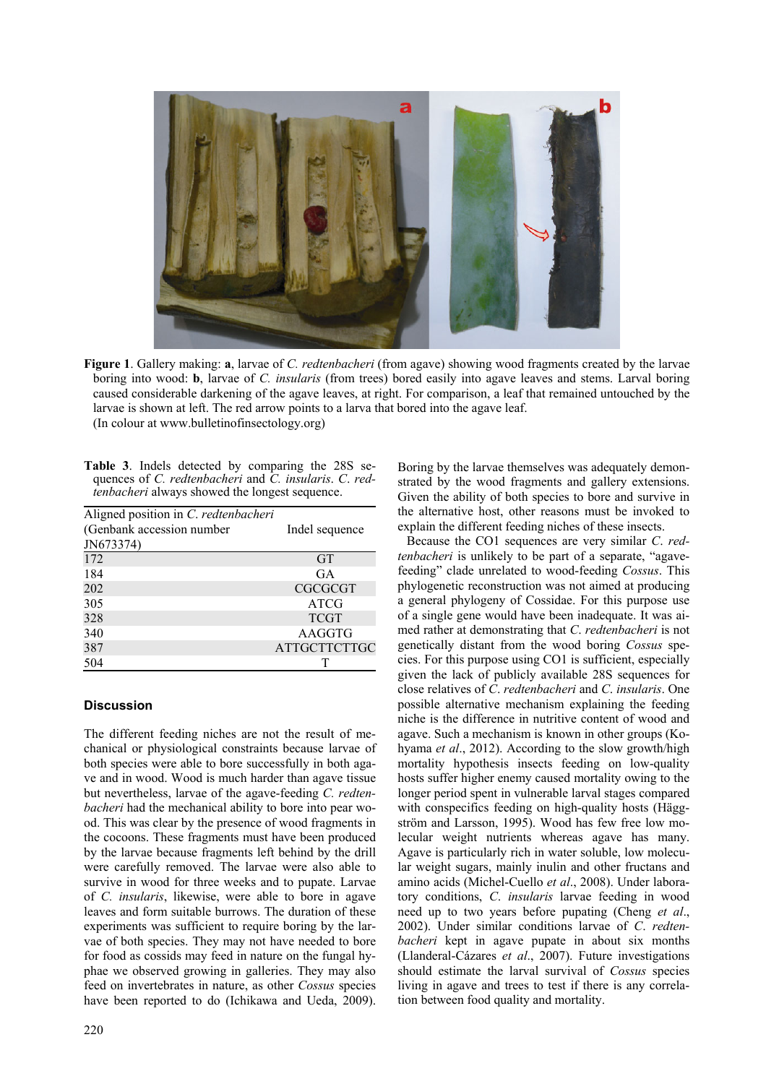

**Figure 1**. Gallery making: **a**, larvae of *C. redtenbacheri* (from agave) showing wood fragments created by the larvae boring into wood: **b**, larvae of *C. insularis* (from trees) bored easily into agave leaves and stems. Larval boring caused considerable darkening of the agave leaves, at right. For comparison, a leaf that remained untouched by the larvae is shown at left. The red arrow points to a larva that bored into the agave leaf. (In colour at www.bulletinofinsectology.org)

**Table 3**. Indels detected by comparing the 28S sequences of *C. redtenbacheri* and *C. insularis*. *C*. *redtenbacheri* always showed the longest sequence.

| Aligned position in C. redtenbacheri |                     |
|--------------------------------------|---------------------|
| (Genbank accession number            | Indel sequence      |
| JN673374)                            |                     |
| 172                                  | <b>GT</b>           |
| 184                                  | GA                  |
| 202                                  | <b>CGCGCGT</b>      |
| 305                                  | <b>ATCG</b>         |
| 328                                  | <b>TCGT</b>         |
| 340                                  | AAGGTG              |
| 387                                  | <b>ATTGCTTCTTGC</b> |
| 504                                  |                     |

# **Discussion**

The different feeding niches are not the result of mechanical or physiological constraints because larvae of both species were able to bore successfully in both agave and in wood. Wood is much harder than agave tissue but nevertheless, larvae of the agave-feeding *C. redtenbacheri* had the mechanical ability to bore into pear wood. This was clear by the presence of wood fragments in the cocoons. These fragments must have been produced by the larvae because fragments left behind by the drill were carefully removed. The larvae were also able to survive in wood for three weeks and to pupate. Larvae of *C. insularis*, likewise, were able to bore in agave leaves and form suitable burrows. The duration of these experiments was sufficient to require boring by the larvae of both species. They may not have needed to bore for food as cossids may feed in nature on the fungal hyphae we observed growing in galleries. They may also feed on invertebrates in nature, as other *Cossus* species have been reported to do (Ichikawa and Ueda, 2009). Boring by the larvae themselves was adequately demonstrated by the wood fragments and gallery extensions. Given the ability of both species to bore and survive in the alternative host, other reasons must be invoked to explain the different feeding niches of these insects.

Because the CO1 sequences are very similar *C*. *redtenbacheri* is unlikely to be part of a separate, "agavefeeding" clade unrelated to wood-feeding *Cossus*. This phylogenetic reconstruction was not aimed at producing a general phylogeny of Cossidae. For this purpose use of a single gene would have been inadequate. It was aimed rather at demonstrating that *C*. *redtenbacheri* is not genetically distant from the wood boring *Cossus* species. For this purpose using CO1 is sufficient, especially given the lack of publicly available 28S sequences for close relatives of *C*. *redtenbacheri* and *C*. *insularis*. One possible alternative mechanism explaining the feeding niche is the difference in nutritive content of wood and agave. Such a mechanism is known in other groups (Kohyama *et al*., 2012). According to the slow growth/high mortality hypothesis insects feeding on low-quality hosts suffer higher enemy caused mortality owing to the longer period spent in vulnerable larval stages compared with conspecifics feeding on high-quality hosts (Häggström and Larsson, 1995). Wood has few free low molecular weight nutrients whereas agave has many. Agave is particularly rich in water soluble, low molecular weight sugars, mainly inulin and other fructans and amino acids (Michel-Cuello *et al*., 2008). Under laboratory conditions, *C*. *insularis* larvae feeding in wood need up to two years before pupating (Cheng *et al*., 2002). Under similar conditions larvae of *C*. *redtenbacheri* kept in agave pupate in about six months (Llanderal-Cázares *et al*., 2007). Future investigations should estimate the larval survival of *Cossus* species living in agave and trees to test if there is any correlation between food quality and mortality.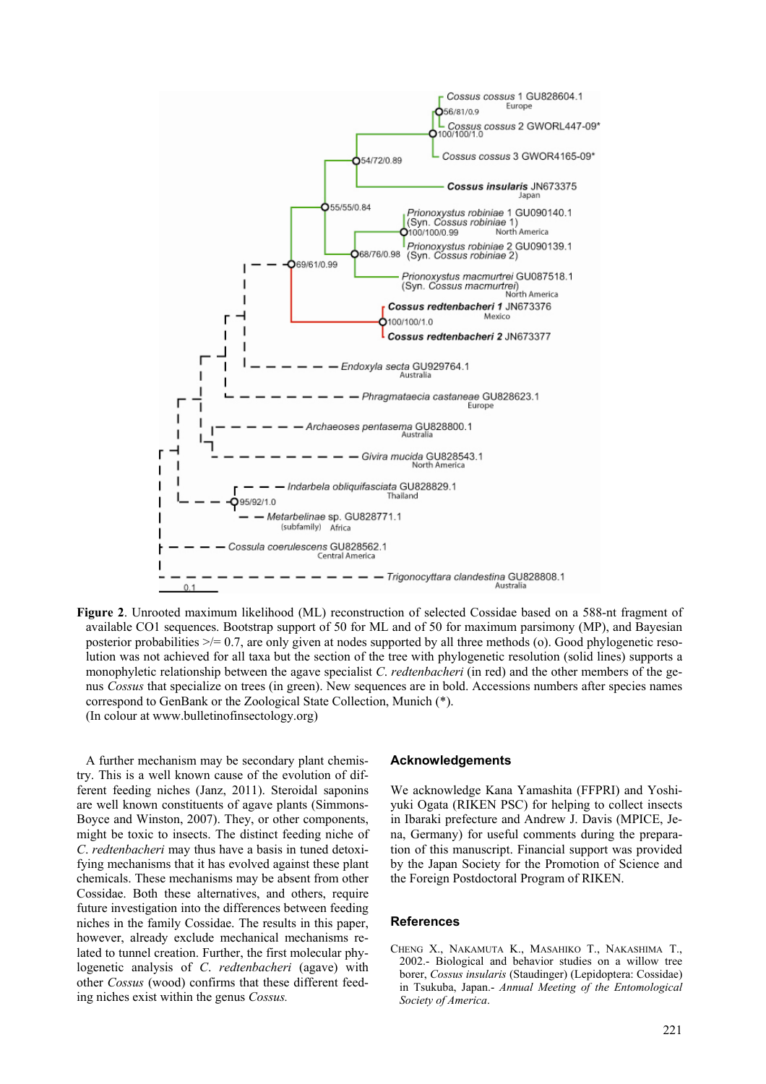

**Figure 2**. Unrooted maximum likelihood (ML) reconstruction of selected Cossidae based on a 588-nt fragment of available CO1 sequences. Bootstrap support of 50 for ML and of 50 for maximum parsimony (MP), and Bayesian posterior probabilities  $\geq$  = 0.7, are only given at nodes supported by all three methods (o). Good phylogenetic resolution was not achieved for all taxa but the section of the tree with phylogenetic resolution (solid lines) supports a monophyletic relationship between the agave specialist *C*. *redtenbacheri* (in red) and the other members of the genus *Cossus* that specialize on trees (in green). New sequences are in bold. Accessions numbers after species names correspond to GenBank or the Zoological State Collection, Munich (\*). (In colour at www.bulletinofinsectology.org)

A further mechanism may be secondary plant chemistry. This is a well known cause of the evolution of different feeding niches (Janz, 2011). Steroidal saponins are well known constituents of agave plants (Simmons-Boyce and Winston, 2007). They, or other components, might be toxic to insects. The distinct feeding niche of *C*. *redtenbacheri* may thus have a basis in tuned detoxifying mechanisms that it has evolved against these plant chemicals. These mechanisms may be absent from other Cossidae. Both these alternatives, and others, require future investigation into the differences between feeding niches in the family Cossidae. The results in this paper, however, already exclude mechanical mechanisms related to tunnel creation. Further, the first molecular phylogenetic analysis of *C*. *redtenbacheri* (agave) with other *Cossus* (wood) confirms that these different feeding niches exist within the genus *Cossus.*

#### **Acknowledgements**

We acknowledge Kana Yamashita (FFPRI) and Yoshiyuki Ogata (RIKEN PSC) for helping to collect insects in Ibaraki prefecture and Andrew J. Davis (MPICE, Jena, Germany) for useful comments during the preparation of this manuscript. Financial support was provided by the Japan Society for the Promotion of Science and the Foreign Postdoctoral Program of RIKEN.

#### **References**

CHENG X., NAKAMUTA K., MASAHIKO T., NAKASHIMA T., 2002.- Biological and behavior studies on a willow tree borer, *Cossus insularis* (Staudinger) (Lepidoptera: Cossidae) in Tsukuba, Japan.- *Annual Meeting of the Entomological Society of America*.